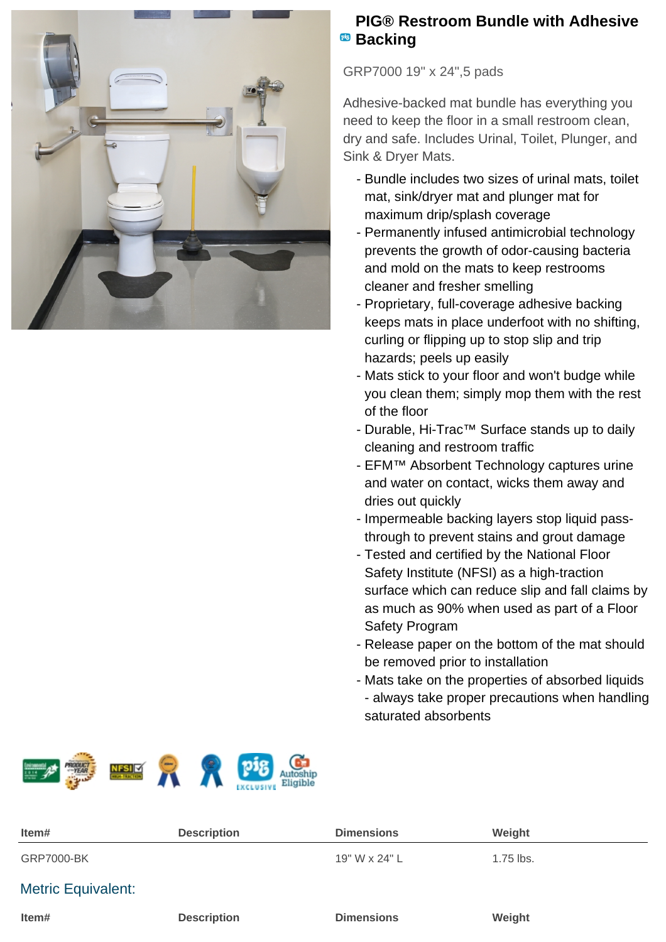

## **PIG® Restroom Bundle with Adhesive Backing**

GRP7000 19" x 24",5 pads

Adhesive-backed mat bundle has everything you need to keep the floor in a small restroom clean, dry and safe. Includes Urinal, Toilet, Plunger, and Sink & Dryer Mats.

- Bundle includes two sizes of urinal mats, toilet mat, sink/dryer mat and plunger mat for maximum drip/splash coverage
- Permanently infused antimicrobial technology prevents the growth of odor-causing bacteria and mold on the mats to keep restrooms cleaner and fresher smelling
- Proprietary, full-coverage adhesive backing keeps mats in place underfoot with no shifting, curling or flipping up to stop slip and trip hazards; peels up easily
- Mats stick to your floor and won't budge while you clean them; simply mop them with the rest of the floor
- Durable, Hi-Trac™ Surface stands up to daily cleaning and restroom traffic
- EFM™ Absorbent Technology captures urine and water on contact, wicks them away and dries out quickly
- Impermeable backing layers stop liquid passthrough to prevent stains and grout damage
- Tested and certified by the National Floor Safety Institute (NFSI) as a high-traction surface which can reduce slip and fall claims by as much as 90% when used as part of a Floor Safety Program
- Release paper on the bottom of the mat should be removed prior to installation
- Mats take on the properties of absorbed liquids - always take proper precautions when handling saturated absorbents



| Item#                     | <b>Description</b> | <b>Dimensions</b> | Weight      |
|---------------------------|--------------------|-------------------|-------------|
| <b>GRP7000-BK</b>         |                    | 19" W x 24" L     | $1.75$ lbs. |
| <b>Metric Equivalent:</b> |                    |                   |             |
| Item#                     | <b>Description</b> | <b>Dimensions</b> | Weight      |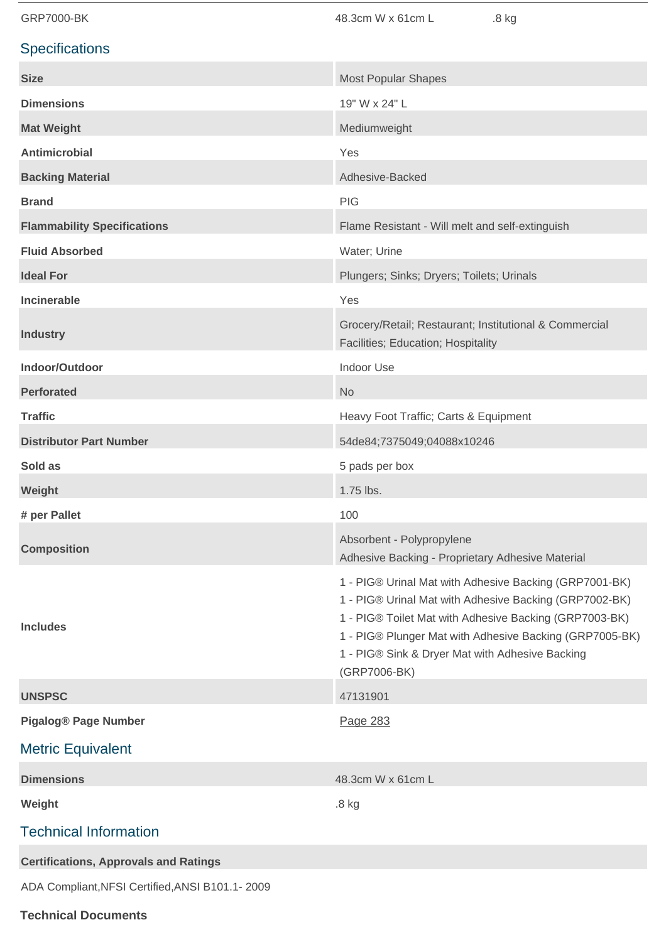| <b>GRP7000-BK</b>                               | 48.3cm W x 61cm L<br>.8 kg                                                                                                                                                                                                                                                                               |  |  |
|-------------------------------------------------|----------------------------------------------------------------------------------------------------------------------------------------------------------------------------------------------------------------------------------------------------------------------------------------------------------|--|--|
| <b>Specifications</b>                           |                                                                                                                                                                                                                                                                                                          |  |  |
| <b>Size</b>                                     | <b>Most Popular Shapes</b>                                                                                                                                                                                                                                                                               |  |  |
| <b>Dimensions</b>                               | 19" W x 24" L                                                                                                                                                                                                                                                                                            |  |  |
| <b>Mat Weight</b>                               | Mediumweight                                                                                                                                                                                                                                                                                             |  |  |
| <b>Antimicrobial</b>                            | Yes                                                                                                                                                                                                                                                                                                      |  |  |
| <b>Backing Material</b>                         | Adhesive-Backed                                                                                                                                                                                                                                                                                          |  |  |
| <b>Brand</b>                                    | <b>PIG</b>                                                                                                                                                                                                                                                                                               |  |  |
| <b>Flammability Specifications</b>              | Flame Resistant - Will melt and self-extinguish                                                                                                                                                                                                                                                          |  |  |
| <b>Fluid Absorbed</b>                           | Water; Urine                                                                                                                                                                                                                                                                                             |  |  |
| <b>Ideal For</b>                                | Plungers; Sinks; Dryers; Toilets; Urinals                                                                                                                                                                                                                                                                |  |  |
| <b>Incinerable</b>                              | Yes                                                                                                                                                                                                                                                                                                      |  |  |
| <b>Industry</b>                                 | Grocery/Retail; Restaurant; Institutional & Commercial<br>Facilities; Education; Hospitality                                                                                                                                                                                                             |  |  |
| Indoor/Outdoor                                  | <b>Indoor Use</b>                                                                                                                                                                                                                                                                                        |  |  |
| <b>Perforated</b>                               | <b>No</b>                                                                                                                                                                                                                                                                                                |  |  |
| <b>Traffic</b>                                  | Heavy Foot Traffic; Carts & Equipment                                                                                                                                                                                                                                                                    |  |  |
| <b>Distributor Part Number</b>                  | 54de84;7375049;04088x10246                                                                                                                                                                                                                                                                               |  |  |
| Sold as                                         | 5 pads per box                                                                                                                                                                                                                                                                                           |  |  |
| Weight                                          | 1.75 lbs.                                                                                                                                                                                                                                                                                                |  |  |
| # per Pallet                                    | 100                                                                                                                                                                                                                                                                                                      |  |  |
| <b>Composition</b>                              | Absorbent - Polypropylene<br>Adhesive Backing - Proprietary Adhesive Material                                                                                                                                                                                                                            |  |  |
| <b>Includes</b>                                 | 1 - PIG® Urinal Mat with Adhesive Backing (GRP7001-BK)<br>1 - PIG® Urinal Mat with Adhesive Backing (GRP7002-BK)<br>1 - PIG® Toilet Mat with Adhesive Backing (GRP7003-BK)<br>1 - PIG® Plunger Mat with Adhesive Backing (GRP7005-BK)<br>1 - PIG® Sink & Dryer Mat with Adhesive Backing<br>(GRP7006-BK) |  |  |
| <b>UNSPSC</b>                                   | 47131901                                                                                                                                                                                                                                                                                                 |  |  |
| <b>Pigalog® Page Number</b>                     | Page 283                                                                                                                                                                                                                                                                                                 |  |  |
| <b>Metric Equivalent</b>                        |                                                                                                                                                                                                                                                                                                          |  |  |
| <b>Dimensions</b>                               | 48.3cm W x 61cm L                                                                                                                                                                                                                                                                                        |  |  |
| Weight                                          | .8 kg                                                                                                                                                                                                                                                                                                    |  |  |
| <b>Technical Information</b>                    |                                                                                                                                                                                                                                                                                                          |  |  |
| <b>Certifications, Approvals and Ratings</b>    |                                                                                                                                                                                                                                                                                                          |  |  |
| ADA Compliant, NFSI Certified, ANSI B101.1-2009 |                                                                                                                                                                                                                                                                                                          |  |  |

**Technical Documents**